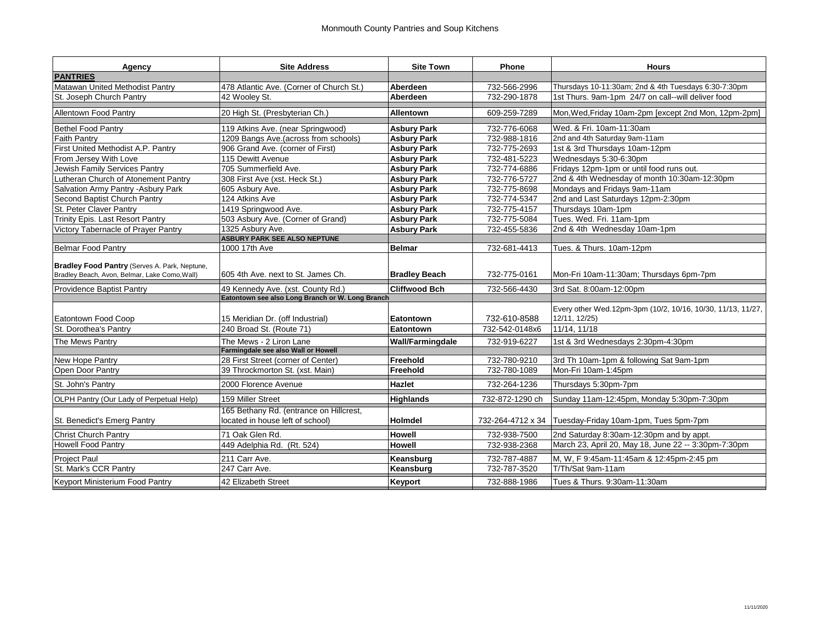| Agency                                                                                         | <b>Site Address</b>                                                         | <b>Site Town</b>        | <b>Phone</b>      | <b>Hours</b>                                                                 |
|------------------------------------------------------------------------------------------------|-----------------------------------------------------------------------------|-------------------------|-------------------|------------------------------------------------------------------------------|
| <b>PANTRIES</b>                                                                                |                                                                             |                         |                   |                                                                              |
| Matawan United Methodist Pantry                                                                | 478 Atlantic Ave. (Corner of Church St.)                                    | Aberdeen                | 732-566-2996      | Thursdays 10-11:30am; 2nd & 4th Tuesdays 6:30-7:30pm                         |
| St. Joseph Church Pantry                                                                       | 42 Woolev St.                                                               | Aberdeen                | 732-290-1878      | 1st Thurs, 9am-1pm 24/7 on call--will deliver food                           |
| <b>Allentown Food Pantry</b>                                                                   | 20 High St. (Presbyterian Ch.)                                              | <b>Allentown</b>        | 609-259-7289      | Mon, Wed, Friday 10am-2pm [except 2nd Mon, 12pm-2pm]                         |
| <b>Bethel Food Pantry</b>                                                                      | 119 Atkins Ave. (near Springwood)                                           | <b>Asbury Park</b>      | 732-776-6068      | Wed. & Fri. 10am-11:30am                                                     |
| Faith Pantry                                                                                   | 1209 Bangs Ave.(across from schools)                                        | <b>Asbury Park</b>      | 732-988-1816      | 2nd and 4th Saturday 9am-11am                                                |
| First United Methodist A.P. Pantry                                                             | 906 Grand Ave. (corner of First)                                            | <b>Asbury Park</b>      | 732-775-2693      | 1st & 3rd Thursdays 10am-12pm                                                |
| From Jersey With Love                                                                          | 115 Dewitt Avenue                                                           | <b>Asbury Park</b>      | 732-481-5223      | Wednesdays 5:30-6:30pm                                                       |
| Jewish Family Services Pantry                                                                  | 705 Summerfield Ave.                                                        | <b>Asbury Park</b>      | 732-774-6886      | Fridays 12pm-1pm or until food runs out.                                     |
| Lutheran Church of Atonement Pantry                                                            | 308 First Ave (xst. Heck St.)                                               | <b>Asbury Park</b>      | 732-776-5727      | 2nd & 4th Wednesday of month 10:30am-12:30pm                                 |
| Salvation Army Pantry - Asbury Park                                                            | 605 Asbury Ave.                                                             | <b>Asbury Park</b>      | 732-775-8698      | Mondays and Fridays 9am-11am                                                 |
| Second Baptist Church Pantry                                                                   | 124 Atkins Ave                                                              | <b>Asbury Park</b>      | 732-774-5347      | 2nd and Last Saturdays 12pm-2:30pm                                           |
| St. Peter Claver Pantry                                                                        | 1419 Springwood Ave.                                                        | <b>Asbury Park</b>      | 732-775-4157      | Thursdays 10am-1pm                                                           |
| Trinity Epis. Last Resort Pantry                                                               | 503 Asbury Ave. (Corner of Grand)                                           | <b>Asbury Park</b>      | 732-775-5084      | Tues. Wed. Fri. 11am-1pm                                                     |
| Victory Tabernacle of Prayer Pantry                                                            | 1325 Asbury Ave.                                                            | <b>Asbury Park</b>      | 732-455-5836      | 2nd & 4th Wednesday 10am-1pm                                                 |
|                                                                                                | <b>ASBURY PARK SEE ALSO NEPTUNE</b>                                         |                         |                   |                                                                              |
| <b>Belmar Food Pantry</b>                                                                      | 1000 17th Ave                                                               | <b>Belmar</b>           | 732-681-4413      | Tues. & Thurs. 10am-12pm                                                     |
| Bradley Food Pantry (Serves A. Park, Neptune,<br>Bradley Beach, Avon, Belmar, Lake Como, Wall) | 605 4th Ave. next to St. James Ch.                                          | <b>Bradley Beach</b>    | 732-775-0161      | Mon-Fri 10am-11:30am; Thursdays 6pm-7pm                                      |
| Providence Baptist Pantry                                                                      | 49 Kennedy Ave. (xst. County Rd.)                                           | <b>Cliffwood Bch</b>    | 732-566-4430      | 3rd Sat. 8:00am-12:00pm                                                      |
|                                                                                                | Eatontown see also Long Branch or W. Long Branch                            |                         |                   |                                                                              |
| <b>Eatontown Food Coop</b>                                                                     | 15 Meridian Dr. (off Industrial)                                            | Eatontown               | 732-610-8588      | Every other Wed.12pm-3pm (10/2, 10/16, 10/30, 11/13, 11/27,<br>12/11, 12/25) |
| St. Dorothea's Pantry                                                                          | 240 Broad St. (Route 71)                                                    | Eatontown               | 732-542-0148x6    | 11/14, 11/18                                                                 |
| The Mews Pantry                                                                                | The Mews - 2 Liron Lane                                                     | <b>Wall/Farmingdale</b> | 732-919-6227      | 1st & 3rd Wednesdays 2:30pm-4:30pm                                           |
|                                                                                                | Farmingdale see also Wall or Howell                                         |                         |                   |                                                                              |
| New Hope Pantry                                                                                | 28 First Street (corner of Center)                                          | Freehold                | 732-780-9210      | 3rd Th 10am-1pm & following Sat 9am-1pm                                      |
| Open Door Pantry                                                                               | 39 Throckmorton St. (xst. Main)                                             | Freehold                | 732-780-1089      | Mon-Fri 10am-1:45pm                                                          |
| St. John's Pantry                                                                              | 2000 Florence Avenue                                                        | <b>Hazlet</b>           | 732-264-1236      | Thursdays 5:30pm-7pm                                                         |
| OLPH Pantry (Our Lady of Perpetual Help)                                                       | 159 Miller Street                                                           | <b>Highlands</b>        | 732-872-1290 ch   | Sunday 11am-12:45pm, Monday 5:30pm-7:30pm                                    |
| St. Benedict's Emerg Pantry                                                                    | 165 Bethany Rd. (entrance on Hillcrest,<br>located in house left of school) | <b>Holmdel</b>          | 732-264-4712 x 34 | Tuesday-Friday 10am-1pm, Tues 5pm-7pm                                        |
| <b>Christ Church Pantry</b>                                                                    | 71 Oak Glen Rd.                                                             | <b>Howell</b>           | 732-938-7500      | 2nd Saturday 8:30am-12:30pm and by appt.                                     |
| <b>Howell Food Pantry</b>                                                                      | 449 Adelphia Rd. (Rt. 524)                                                  | <b>Howell</b>           | 732-938-2368      | March 23, April 20, May 18, June 22 -- 3:30pm-7:30pm                         |
| Project Paul                                                                                   | 211 Carr Ave.                                                               | Keansburg               | 732-787-4887      | M, W, F 9:45am-11:45am & 12:45pm-2:45 pm                                     |
| St. Mark's CCR Pantry                                                                          | 247 Carr Ave.                                                               | Keansburg               | 732-787-3520      | T/Th/Sat 9am-11am                                                            |
| Keyport Ministerium Food Pantry                                                                | 42 Elizabeth Street                                                         | Keyport                 | 732-888-1986      | Tues & Thurs. 9:30am-11:30am                                                 |